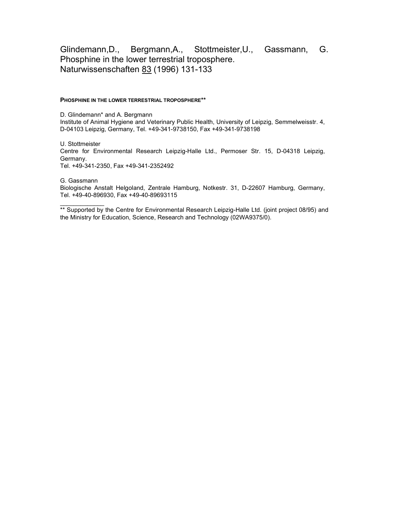## Glindemann,D., Bergmann,A., Stottmeister,U., Gassmann, G. Phosphine in the lower terrestrial troposphere. Naturwissenschaften 83 (1996) 131-133

## PHOSPHINE IN THE LOWER TERRESTRIAL TROPOSPHERE\*\*

D. Glindemann\* and A. Bergmann Institute of Animal Hygiene and Veterinary Public Health, University of Leipzig, Semmelweisstr. 4, D-04103 Leipzig, Germany, Tel. +49-341-9738150, Fax +49-341-9738198

U. Stottmeister Centre for Environmental Research Leipzig-Halle Ltd., Permoser Str. 15, D-04318 Leipzig, Germany. Tel. +49-341-2350, Fax +49-341-2352492

G. Gassmann

 $\mathcal{L}_\text{max}$  and  $\mathcal{L}_\text{max}$ 

Biologische Anstalt Helgoland, Zentrale Hamburg, Notkestr. 31, D-22607 Hamburg, Germany, Tel. +49-40-896930, Fax +49-40-89693115

\*\* Supported by the Centre for Environmental Research Leipzig-Halle Ltd. (joint project 08/95) and the Ministry for Education, Science, Research and Technology (02WA9375/0).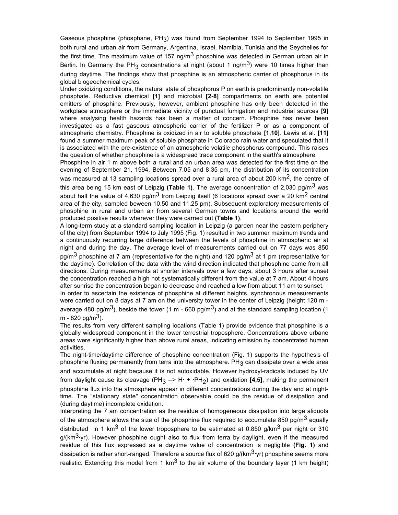Gaseous phosphine (phosphane, PH<sub>3</sub>) was found from September 1994 to September 1995 in both rural and urban air from Germany, Argentina, Israel, Namibia, Tunisia and the Seychelles for the first time. The maximum value of 157 ng/m<sup>3</sup> phosphine was detected in German urban air in Berlin. In Germany the PH $_3$  concentrations at night (about 1 ng/m $^3$ ) were 10 times higher than during daytime. The findings show that phosphine is an atmospheric carrier of phosphorus in its global biogeochemical cycles.

Under oxidizing conditions, the natural state of phosphorus P on earth is predominantly non-volatile phosphate. Reductive chemical [1] and microbial [2-8] compartments on earth are potential emitters of phosphine. Previously, however, ambient phosphine has only been detected in the workplace atmosphere or the immediate vicinity of punctual fumigation and industrial sources [9] where analysing health hazards has been a matter of concern. Phosphine has never been investigated as a fast gaseous atmospheric carrier of the fertilizer P or as a component of atmospheric chemistry. Phosphine is oxidized in air to soluble phosphate [1,10]. Lewis et al. [11] found a summer maximum peak of soluble phosphate in Colorado rain water and speculated that it is associated with the pre-existence of an atmospheric volatile phosphorus compound. This raises the question of whether phosphine is a widespread trace component in the earth's atmosphere.

Phosphine in air 1 m above both a rural and an urban area was detected for the first time on the evening of September 21, 1994. Between 7.05 and 8.35 pm, the distribution of its concentration was measured at 13 sampling locations spread over a rural area of about 200  $\text{km}^2$ , the centre of this area being 15 km east of Leipzig (Table 1). The average concentration of 2,030 pg/m<sup>3</sup> was about half the value of 4,630 pg/m<sup>3</sup> from Leipzig itself (6 locations spread over a 20 km<sup>2</sup> central area of the city, sampled beween 10.50 and 11.25 pm). Subsequent exploratory measurements of phosphine in rural and urban air from several German towns and locations around the world produced positive results wherever they were carried out (Table 1).

A long-term study at a standard sampling location in Leipzig (a garden near the eastern periphery of the city) from September 1994 to July 1995 (Fig. 1) resulted in two summer maximum trends and a continuously recurring large difference between the levels of phosphine in atmospheric air at night and during the day. The average level of measurements carried out on 77 days was 850 pg/m<sup>3</sup> phosphine at 7 am (representative for the night) and 120 pg/m<sup>3</sup> at 1 pm (representative for the daytime). Correlation of the data with the wind direction indicated that phosphine came from all directions. During measurements at shorter intervals over a few days, about 3 hours after sunset the concentration reached a high not systematically different from the value at 7 am. About 4 hours after sunrise the concentration began to decrease and reached a low from about 11 am to sunset.

In order to ascertain the existence of phosphine at different heights, synchronous measurements were carried out on 8 days at 7 am on the university tower in the center of Leipzig (height 120 m average 480 pg/m<sup>3</sup>), beside the tower (1 m - 660 pg/m<sup>3</sup>) and at the standard sampling location (1 m - 820 pg/m<sup>3</sup>).

The results from very different sampling locations (Table 1) provide evidence that phosphine is a globally widespread component in the lower terrestrial troposphere. Concentrations above urbane areas were significantly higher than above rural areas, indicating emission by concentrated human activities.

The night-time/daytime difference of phosphine concentration (Fig. 1) supports the hypothesis of phosphine fluxing permanently from terra into the atmosphere. PH $_3$  can dissipate over a wide area and accumulate at night because it is not autoxidable. However hydroxyl-radicals induced by UV from daylight cause its cleavage (PH<sub>3</sub> --> H· + ·PH<sub>2</sub>) and oxidation **[4,5]**, making the permanent phosphine flux into the atmosphere appear in different concentrations during the day and at nighttime. The "stationary state" concentration observable could be the residue of dissipation and (during daytime) incomplete oxidation.

Interpreting the 7 am concentration as the residue of homogeneous dissipation into large aliquots of the atmosphere allows the size of the phosphine flux required to accumulate 850 pg/m<sup>3</sup> equally distributed in 1 km<sup>3</sup> of the lower troposphere to be estimated at 0.850 g/km<sup>3</sup> per night or 310  $q/(km<sup>3</sup>·yr)$ . However phosphine ought also to flux from terra by daylight, even if the measured residue of this flux expressed as a daytime value of concentration is negligible (Fig. 1) and dissipation is rather short-ranged. Therefore a source flux of 620  $g/(km<sup>3</sup>·yr)$  phosphine seems more realistic. Extending this model from 1 km<sup>3</sup> to the air volume of the boundary layer (1 km height)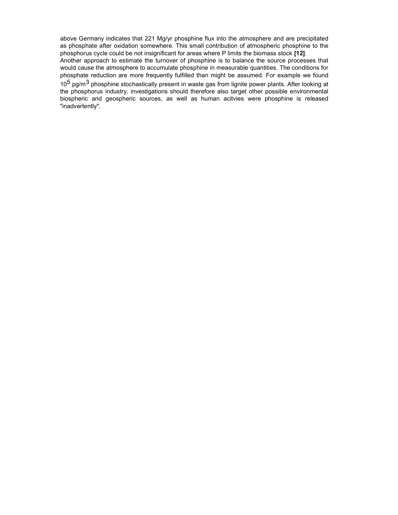above Germany indicates that 221 Mg/yr phosphine flux into the atmosphere and are precipitated as phosphate after oxidation somewhere. This small contribution of atmospheric phosphine to the phosphorus cycle could be not insignificant for areas where P limits the biomass stock [12].

Another approach to estimate the turnover of phosphine is to balance the source processes that would cause the atmosphere to accumulate phosphine in measurable quantities. The conditions for phosphate reduction are more frequently fulfilled than might be assumed. For example we found 10<sup>5</sup> pg/m $^3$  phosphine stochastically present in waste gas from lignite power plants. After looking at the phosphorus industry, investigations should therefore also target other possible environmental biospheric and geospheric sources, as well as human acitvies were phosphine is released "inadvertently".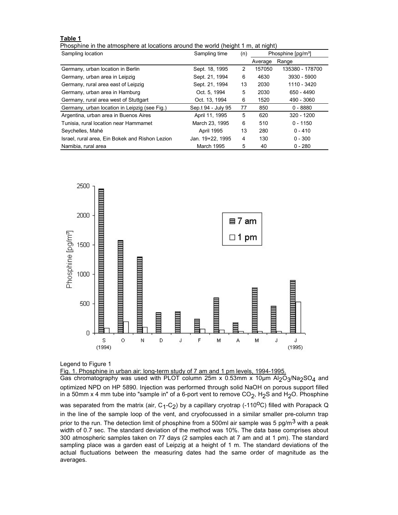## Table 1

Phosphine in the atmosphere at locations around the world (height 1 m, at night)

| Sampling location                               | Sampling time      | (n) | Phosphine [pg/m <sup>3</sup> ] |                 |
|-------------------------------------------------|--------------------|-----|--------------------------------|-----------------|
|                                                 |                    |     | Average                        | Range           |
| Germany, urban location in Berlin               | Sept. 18, 1995     | 2   | 157050                         | 135380 - 178700 |
| Germany, urban area in Leipzig                  | Sept. 21, 1994     | 6   | 4630                           | 3930 - 5900     |
| Germany, rural area east of Leipzig             | Sept. 21, 1994     | 13  | 2030                           | 1110 - 3420     |
| Germany, urban area in Hamburg                  | Oct. 5. 1994       | 5   | 2030                           | 650 - 4490      |
| Germany, rural area west of Stuttgart           | Oct. 13, 1994      | 6   | 1520                           | 490 - 3060      |
| Germany, urban location in Leipzig (see Fig.)   | Sep.t 94 - July 95 | 77  | 850                            | $0 - 8880$      |
| Argentina, urban area in Buenos Aires           | April 11, 1995     | 5   | 620                            | $320 - 1200$    |
| Tunisia, rural location near Hammamet           | March 23, 1995     | 6   | 510                            | $0 - 1150$      |
| Seychelles, Mahé                                | <b>April 1995</b>  | 13  | 280                            | $0 - 410$       |
| Israel, rural area, Ein Bokek and Rishon Lezion | Jan. 19+22. 1995   | 4   | 130                            | $0 - 300$       |
| Namibia, rural area                             | March 1995         | 5   | 40                             | $0 - 280$       |



Legend to Figure 1

Fig. 1. Phosphine in urban air: long-term study of 7 am and 1 pm levels, 1994-1995.

Gas chromatography was used with PLOT column 25m x 0.53mm x 10µm Al $_2$ O $_3$ /Na $_2$ SO $_4$  and optimized NPD on HP 5890. Injection was performed through solid NaOH on porous support filled in a 50mm x 4 mm tube into "sample in" of a 6-port vent to remove CO<sub>2</sub>, H<sub>2</sub>S and H<sub>2</sub>O. Phosphine was separated from the matrix (air, C<sub>1</sub>-C<sub>2</sub>) by a capillary cryotrap (-110<sup>o</sup>C) filled with Porapack Q in the line of the sample loop of the vent, and cryofocussed in a similar smaller pre-column trap prior to the run. The detection limit of phosphine from a 500ml air sample was 5 pg/m<sup>3</sup> with a peak width of 0.7 sec. The standard deviation of the method was 10%. The data base comprises about 300 atmospheric samples taken on 77 days (2 samples each at 7 am and at 1 pm). The standard

sampling place was a garden east of Leipzig at a height of 1 m. The standard deviations of the actual fluctuations between the measuring dates had the same order of magnitude as the averages.